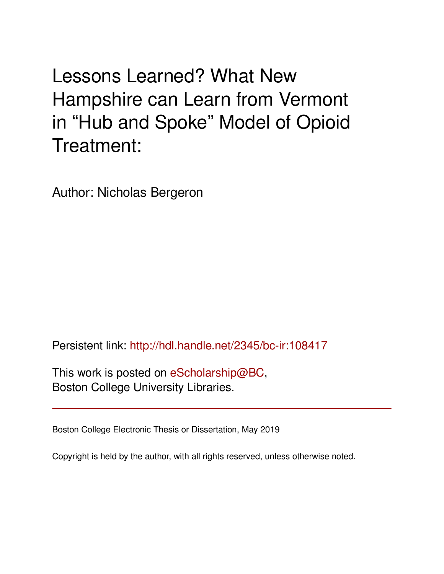Lessons Learned? What New Hampshire can Learn from Vermont in "Hub and Spoke" Model of Opioid Treatment:

Author: Nicholas Bergeron

Persistent link: <http://hdl.handle.net/2345/bc-ir:108417>

This work is posted on [eScholarship@BC](http://escholarship.bc.edu), Boston College University Libraries.

Boston College Electronic Thesis or Dissertation, May 2019

Copyright is held by the author, with all rights reserved, unless otherwise noted.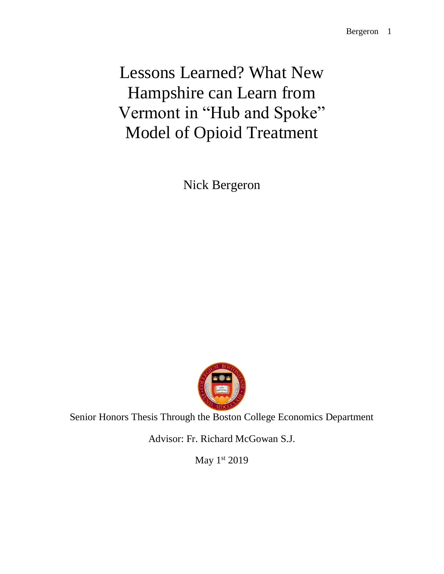Lessons Learned? What New Hampshire can Learn from Vermont in "Hub and Spoke" Model of Opioid Treatment

Nick Bergeron



Senior Honors Thesis Through the Boston College Economics Department

Advisor: Fr. Richard McGowan S.J.

May 1st 2019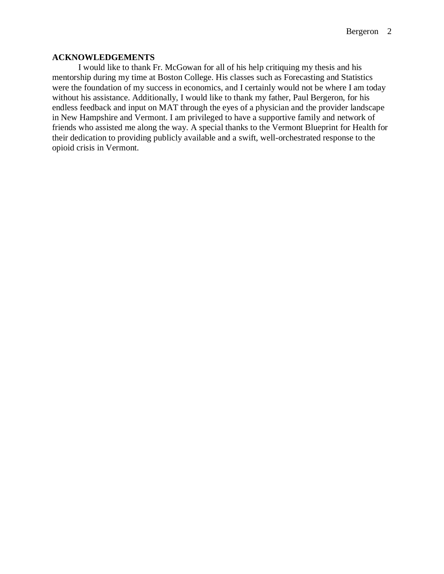# **ACKNOWLEDGEMENTS**

I would like to thank Fr. McGowan for all of his help critiquing my thesis and his mentorship during my time at Boston College. His classes such as Forecasting and Statistics were the foundation of my success in economics, and I certainly would not be where I am today without his assistance. Additionally, I would like to thank my father, Paul Bergeron, for his endless feedback and input on MAT through the eyes of a physician and the provider landscape in New Hampshire and Vermont. I am privileged to have a supportive family and network of friends who assisted me along the way. A special thanks to the Vermont Blueprint for Health for their dedication to providing publicly available and a swift, well-orchestrated response to the opioid crisis in Vermont.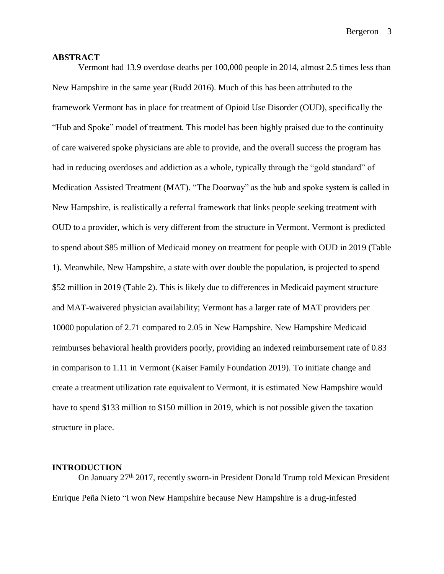#### **ABSTRACT**

Vermont had 13.9 overdose deaths per 100,000 people in 2014, almost 2.5 times less than New Hampshire in the same year (Rudd 2016). Much of this has been attributed to the framework Vermont has in place for treatment of Opioid Use Disorder (OUD), specifically the "Hub and Spoke" model of treatment. This model has been highly praised due to the continuity of care waivered spoke physicians are able to provide, and the overall success the program has had in reducing overdoses and addiction as a whole, typically through the "gold standard" of Medication Assisted Treatment (MAT). "The Doorway" as the hub and spoke system is called in New Hampshire, is realistically a referral framework that links people seeking treatment with OUD to a provider, which is very different from the structure in Vermont. Vermont is predicted to spend about \$85 million of Medicaid money on treatment for people with OUD in 2019 (Table 1). Meanwhile, New Hampshire, a state with over double the population, is projected to spend \$52 million in 2019 (Table 2). This is likely due to differences in Medicaid payment structure and MAT-waivered physician availability; Vermont has a larger rate of MAT providers per 10000 population of 2.71 compared to 2.05 in New Hampshire. New Hampshire Medicaid reimburses behavioral health providers poorly, providing an indexed reimbursement rate of 0.83 in comparison to 1.11 in Vermont (Kaiser Family Foundation 2019). To initiate change and create a treatment utilization rate equivalent to Vermont, it is estimated New Hampshire would have to spend \$133 million to \$150 million in 2019, which is not possible given the taxation structure in place.

### **INTRODUCTION**

On January 27th 2017, recently sworn-in President Donald Trump told Mexican President Enrique Peña Nieto "I won New Hampshire because New Hampshire is a drug-infested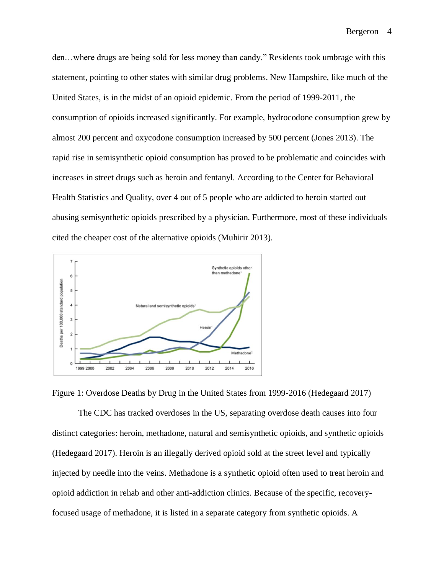den…where drugs are being sold for less money than candy." Residents took umbrage with this statement, pointing to other states with similar drug problems. New Hampshire, like much of the United States, is in the midst of an opioid epidemic. From the period of 1999-2011, the consumption of opioids increased significantly. For example, hydrocodone consumption grew by almost 200 percent and oxycodone consumption increased by 500 percent (Jones 2013). The rapid rise in semisynthetic opioid consumption has proved to be problematic and coincides with increases in street drugs such as heroin and fentanyl. According to the Center for Behavioral Health Statistics and Quality, over 4 out of 5 people who are addicted to heroin started out abusing semisynthetic opioids prescribed by a physician. Furthermore, most of these individuals cited the cheaper cost of the alternative opioids (Muhirir 2013).



Figure 1: Overdose Deaths by Drug in the United States from 1999-2016 (Hedegaard 2017)

The CDC has tracked overdoses in the US, separating overdose death causes into four distinct categories: heroin, methadone, natural and semisynthetic opioids, and synthetic opioids (Hedegaard 2017). Heroin is an illegally derived opioid sold at the street level and typically injected by needle into the veins. Methadone is a synthetic opioid often used to treat heroin and opioid addiction in rehab and other anti-addiction clinics. Because of the specific, recoveryfocused usage of methadone, it is listed in a separate category from synthetic opioids. A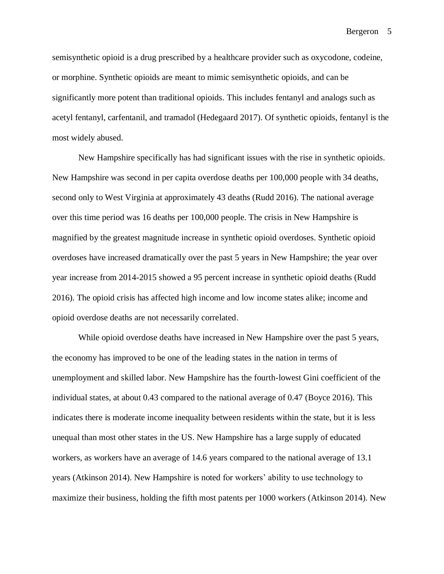semisynthetic opioid is a drug prescribed by a healthcare provider such as oxycodone, codeine, or morphine. Synthetic opioids are meant to mimic semisynthetic opioids, and can be significantly more potent than traditional opioids. This includes fentanyl and analogs such as acetyl fentanyl, carfentanil, and tramadol (Hedegaard 2017). Of synthetic opioids, fentanyl is the most widely abused.

New Hampshire specifically has had significant issues with the rise in synthetic opioids. New Hampshire was second in per capita overdose deaths per 100,000 people with 34 deaths, second only to West Virginia at approximately 43 deaths (Rudd 2016). The national average over this time period was 16 deaths per 100,000 people. The crisis in New Hampshire is magnified by the greatest magnitude increase in synthetic opioid overdoses. Synthetic opioid overdoses have increased dramatically over the past 5 years in New Hampshire; the year over year increase from 2014-2015 showed a 95 percent increase in synthetic opioid deaths (Rudd 2016). The opioid crisis has affected high income and low income states alike; income and opioid overdose deaths are not necessarily correlated.

While opioid overdose deaths have increased in New Hampshire over the past 5 years, the economy has improved to be one of the leading states in the nation in terms of unemployment and skilled labor. New Hampshire has the fourth-lowest Gini coefficient of the individual states, at about 0.43 compared to the national average of 0.47 (Boyce 2016). This indicates there is moderate income inequality between residents within the state, but it is less unequal than most other states in the US. New Hampshire has a large supply of educated workers, as workers have an average of 14.6 years compared to the national average of 13.1 years (Atkinson 2014). New Hampshire is noted for workers' ability to use technology to maximize their business, holding the fifth most patents per 1000 workers (Atkinson 2014). New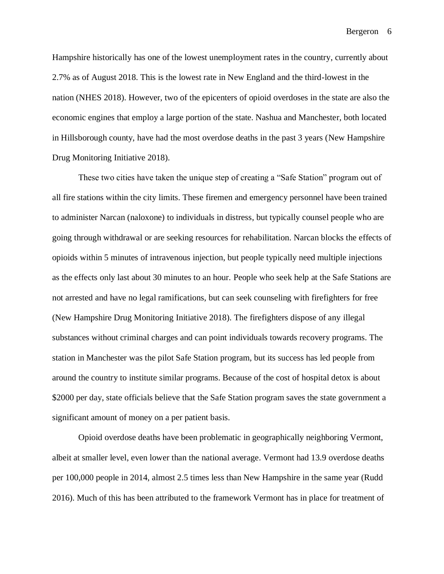Hampshire historically has one of the lowest unemployment rates in the country, currently about 2.7% as of August 2018. This is the lowest rate in New England and the third-lowest in the nation (NHES 2018). However, two of the epicenters of opioid overdoses in the state are also the economic engines that employ a large portion of the state. Nashua and Manchester, both located in Hillsborough county, have had the most overdose deaths in the past 3 years (New Hampshire Drug Monitoring Initiative 2018).

These two cities have taken the unique step of creating a "Safe Station" program out of all fire stations within the city limits. These firemen and emergency personnel have been trained to administer Narcan (naloxone) to individuals in distress, but typically counsel people who are going through withdrawal or are seeking resources for rehabilitation. Narcan blocks the effects of opioids within 5 minutes of intravenous injection, but people typically need multiple injections as the effects only last about 30 minutes to an hour. People who seek help at the Safe Stations are not arrested and have no legal ramifications, but can seek counseling with firefighters for free (New Hampshire Drug Monitoring Initiative 2018). The firefighters dispose of any illegal substances without criminal charges and can point individuals towards recovery programs. The station in Manchester was the pilot Safe Station program, but its success has led people from around the country to institute similar programs. Because of the cost of hospital detox is about \$2000 per day, state officials believe that the Safe Station program saves the state government a significant amount of money on a per patient basis.

Opioid overdose deaths have been problematic in geographically neighboring Vermont, albeit at smaller level, even lower than the national average. Vermont had 13.9 overdose deaths per 100,000 people in 2014, almost 2.5 times less than New Hampshire in the same year (Rudd 2016). Much of this has been attributed to the framework Vermont has in place for treatment of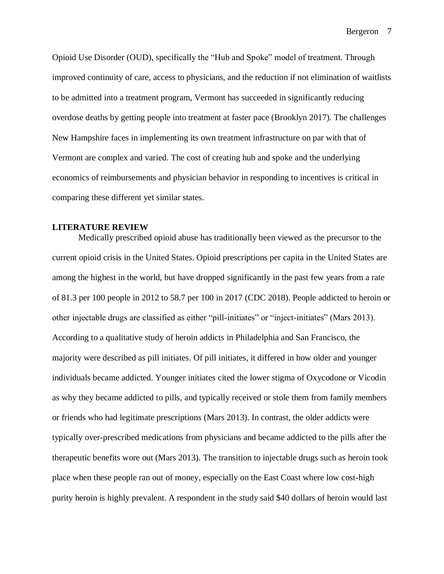Opioid Use Disorder (OUD), specifically the "Hub and Spoke" model of treatment. Through improved continuity of care, access to physicians, and the reduction if not elimination of waitlists to be admitted into a treatment program, Vermont has succeeded in significantly reducing overdose deaths by getting people into treatment at faster pace (Brooklyn 2017). The challenges New Hampshire faces in implementing its own treatment infrastructure on par with that of Vermont are complex and varied. The cost of creating hub and spoke and the underlying economics of reimbursements and physician behavior in responding to incentives is critical in comparing these different yet similar states.

# **LITERATURE REVIEW**

Medically prescribed opioid abuse has traditionally been viewed as the precursor to the current opioid crisis in the United States. Opioid prescriptions per capita in the United States are among the highest in the world, but have dropped significantly in the past few years from a rate of 81.3 per 100 people in 2012 to 58.7 per 100 in 2017 (CDC 2018). People addicted to heroin or other injectable drugs are classified as either "pill-initiates" or "inject-initiates" (Mars 2013). According to a qualitative study of heroin addicts in Philadelphia and San Francisco, the majority were described as pill initiates. Of pill initiates, it differed in how older and younger individuals became addicted. Younger initiates cited the lower stigma of Oxycodone or Vicodin as why they became addicted to pills, and typically received or stole them from family members or friends who had legitimate prescriptions (Mars 2013). In contrast, the older addicts were typically over-prescribed medications from physicians and became addicted to the pills after the therapeutic benefits wore out (Mars 2013). The transition to injectable drugs such as heroin took place when these people ran out of money, especially on the East Coast where low cost-high purity heroin is highly prevalent. A respondent in the study said \$40 dollars of heroin would last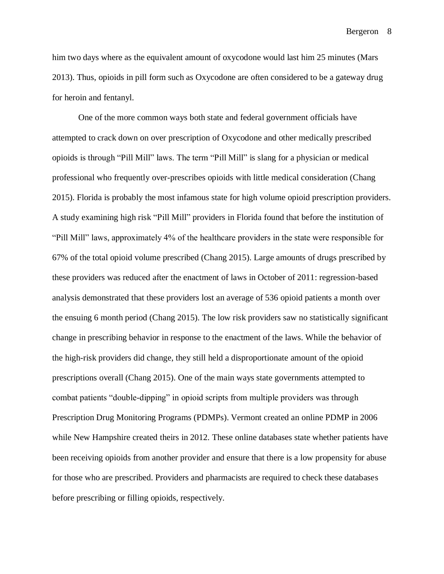him two days where as the equivalent amount of oxycodone would last him 25 minutes (Mars 2013). Thus, opioids in pill form such as Oxycodone are often considered to be a gateway drug for heroin and fentanyl.

One of the more common ways both state and federal government officials have attempted to crack down on over prescription of Oxycodone and other medically prescribed opioids is through "Pill Mill" laws. The term "Pill Mill" is slang for a physician or medical professional who frequently over-prescribes opioids with little medical consideration (Chang 2015). Florida is probably the most infamous state for high volume opioid prescription providers. A study examining high risk "Pill Mill" providers in Florida found that before the institution of "Pill Mill" laws, approximately 4% of the healthcare providers in the state were responsible for 67% of the total opioid volume prescribed (Chang 2015). Large amounts of drugs prescribed by these providers was reduced after the enactment of laws in October of 2011: regression-based analysis demonstrated that these providers lost an average of 536 opioid patients a month over the ensuing 6 month period (Chang 2015). The low risk providers saw no statistically significant change in prescribing behavior in response to the enactment of the laws. While the behavior of the high-risk providers did change, they still held a disproportionate amount of the opioid prescriptions overall (Chang 2015). One of the main ways state governments attempted to combat patients "double-dipping" in opioid scripts from multiple providers was through Prescription Drug Monitoring Programs (PDMPs). Vermont created an online PDMP in 2006 while New Hampshire created theirs in 2012. These online databases state whether patients have been receiving opioids from another provider and ensure that there is a low propensity for abuse for those who are prescribed. Providers and pharmacists are required to check these databases before prescribing or filling opioids, respectively.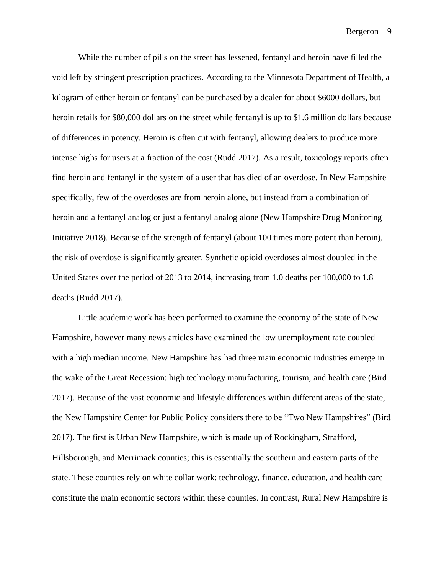While the number of pills on the street has lessened, fentanyl and heroin have filled the void left by stringent prescription practices. According to the Minnesota Department of Health, a kilogram of either heroin or fentanyl can be purchased by a dealer for about \$6000 dollars, but heroin retails for \$80,000 dollars on the street while fentanyl is up to \$1.6 million dollars because of differences in potency. Heroin is often cut with fentanyl, allowing dealers to produce more intense highs for users at a fraction of the cost (Rudd 2017). As a result, toxicology reports often find heroin and fentanyl in the system of a user that has died of an overdose. In New Hampshire specifically, few of the overdoses are from heroin alone, but instead from a combination of heroin and a fentanyl analog or just a fentanyl analog alone (New Hampshire Drug Monitoring Initiative 2018). Because of the strength of fentanyl (about 100 times more potent than heroin), the risk of overdose is significantly greater. Synthetic opioid overdoses almost doubled in the United States over the period of 2013 to 2014, increasing from 1.0 deaths per 100,000 to 1.8 deaths (Rudd 2017).

Little academic work has been performed to examine the economy of the state of New Hampshire, however many news articles have examined the low unemployment rate coupled with a high median income. New Hampshire has had three main economic industries emerge in the wake of the Great Recession: high technology manufacturing, tourism, and health care (Bird 2017). Because of the vast economic and lifestyle differences within different areas of the state, the New Hampshire Center for Public Policy considers there to be "Two New Hampshires" (Bird 2017). The first is Urban New Hampshire, which is made up of Rockingham, Strafford, Hillsborough, and Merrimack counties; this is essentially the southern and eastern parts of the state. These counties rely on white collar work: technology, finance, education, and health care constitute the main economic sectors within these counties. In contrast, Rural New Hampshire is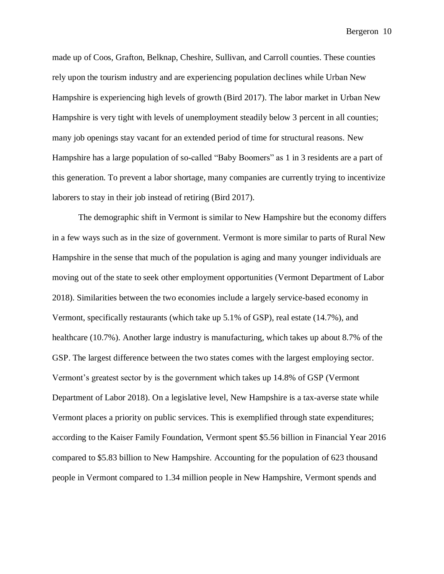made up of Coos, Grafton, Belknap, Cheshire, Sullivan, and Carroll counties. These counties rely upon the tourism industry and are experiencing population declines while Urban New Hampshire is experiencing high levels of growth (Bird 2017). The labor market in Urban New Hampshire is very tight with levels of unemployment steadily below 3 percent in all counties; many job openings stay vacant for an extended period of time for structural reasons. New Hampshire has a large population of so-called "Baby Boomers" as 1 in 3 residents are a part of this generation. To prevent a labor shortage, many companies are currently trying to incentivize laborers to stay in their job instead of retiring (Bird 2017).

The demographic shift in Vermont is similar to New Hampshire but the economy differs in a few ways such as in the size of government. Vermont is more similar to parts of Rural New Hampshire in the sense that much of the population is aging and many younger individuals are moving out of the state to seek other employment opportunities (Vermont Department of Labor 2018). Similarities between the two economies include a largely service-based economy in Vermont, specifically restaurants (which take up 5.1% of GSP), real estate (14.7%), and healthcare (10.7%). Another large industry is manufacturing, which takes up about 8.7% of the GSP. The largest difference between the two states comes with the largest employing sector. Vermont's greatest sector by is the government which takes up 14.8% of GSP (Vermont Department of Labor 2018). On a legislative level, New Hampshire is a tax-averse state while Vermont places a priority on public services. This is exemplified through state expenditures; according to the Kaiser Family Foundation, Vermont spent \$5.56 billion in Financial Year 2016 compared to \$5.83 billion to New Hampshire. Accounting for the population of 623 thousand people in Vermont compared to 1.34 million people in New Hampshire, Vermont spends and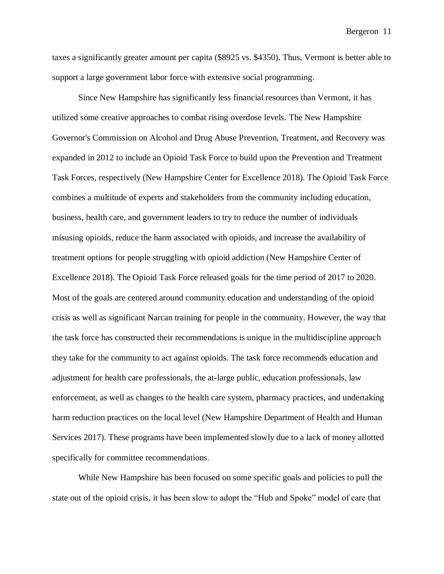taxes a significantly greater amount per capita (\$8925 vs. \$4350). Thus, Vermont is better able to support a large government labor force with extensive social programming.

Since New Hampshire has significantly less financial resources than Vermont, it has utilized some creative approaches to combat rising overdose levels. The New Hampshire Governor's Commission on Alcohol and Drug Abuse Prevention, Treatment, and Recovery was expanded in 2012 to include an Opioid Task Force to build upon the Prevention and Treatment Task Forces, respectively (New Hampshire Center for Excellence 2018). The Opioid Task Force combines a multitude of experts and stakeholders from the community including education, business, health care, and government leaders to try to reduce the number of individuals misusing opioids, reduce the harm associated with opioids, and increase the availability of treatment options for people struggling with opioid addiction (New Hampshire Center of Excellence 2018). The Opioid Task Force released goals for the time period of 2017 to 2020. Most of the goals are centered around community education and understanding of the opioid crisis as well as significant Narcan training for people in the community. However, the way that the task force has constructed their recommendations is unique in the multidiscipline approach they take for the community to act against opioids. The task force recommends education and adjustment for health care professionals, the at-large public, education professionals, law enforcement, as well as changes to the health care system, pharmacy practices, and undertaking harm reduction practices on the local level (New Hampshire Department of Health and Human Services 2017). These programs have been implemented slowly due to a lack of money allotted specifically for committee recommendations.

While New Hampshire has been focused on some specific goals and policies to pull the state out of the opioid crisis, it has been slow to adopt the "Hub and Spoke" model of care that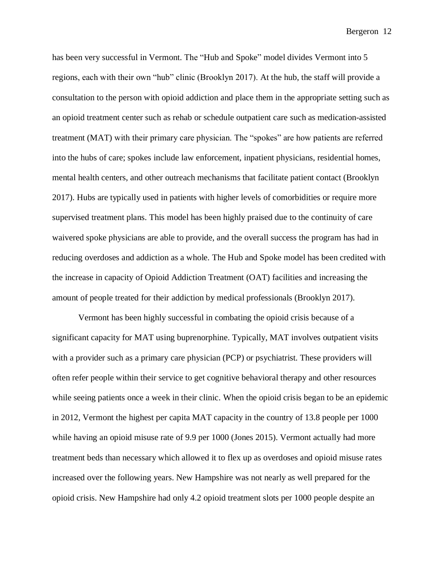has been very successful in Vermont. The "Hub and Spoke" model divides Vermont into 5 regions, each with their own "hub" clinic (Brooklyn 2017). At the hub, the staff will provide a consultation to the person with opioid addiction and place them in the appropriate setting such as an opioid treatment center such as rehab or schedule outpatient care such as medication-assisted treatment (MAT) with their primary care physician. The "spokes" are how patients are referred into the hubs of care; spokes include law enforcement, inpatient physicians, residential homes, mental health centers, and other outreach mechanisms that facilitate patient contact (Brooklyn 2017). Hubs are typically used in patients with higher levels of comorbidities or require more supervised treatment plans. This model has been highly praised due to the continuity of care waivered spoke physicians are able to provide, and the overall success the program has had in reducing overdoses and addiction as a whole. The Hub and Spoke model has been credited with the increase in capacity of Opioid Addiction Treatment (OAT) facilities and increasing the amount of people treated for their addiction by medical professionals (Brooklyn 2017).

Vermont has been highly successful in combating the opioid crisis because of a significant capacity for MAT using buprenorphine. Typically, MAT involves outpatient visits with a provider such as a primary care physician (PCP) or psychiatrist. These providers will often refer people within their service to get cognitive behavioral therapy and other resources while seeing patients once a week in their clinic. When the opioid crisis began to be an epidemic in 2012, Vermont the highest per capita MAT capacity in the country of 13.8 people per 1000 while having an opioid misuse rate of 9.9 per 1000 (Jones 2015). Vermont actually had more treatment beds than necessary which allowed it to flex up as overdoses and opioid misuse rates increased over the following years. New Hampshire was not nearly as well prepared for the opioid crisis. New Hampshire had only 4.2 opioid treatment slots per 1000 people despite an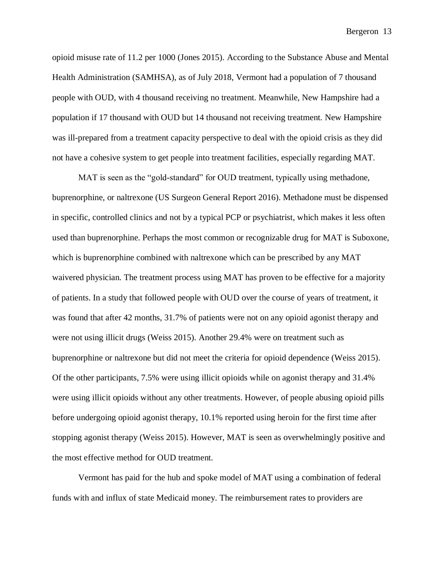opioid misuse rate of 11.2 per 1000 (Jones 2015). According to the Substance Abuse and Mental Health Administration (SAMHSA), as of July 2018, Vermont had a population of 7 thousand people with OUD, with 4 thousand receiving no treatment. Meanwhile, New Hampshire had a population if 17 thousand with OUD but 14 thousand not receiving treatment. New Hampshire was ill-prepared from a treatment capacity perspective to deal with the opioid crisis as they did not have a cohesive system to get people into treatment facilities, especially regarding MAT.

MAT is seen as the "gold-standard" for OUD treatment, typically using methadone, buprenorphine, or naltrexone (US Surgeon General Report 2016). Methadone must be dispensed in specific, controlled clinics and not by a typical PCP or psychiatrist, which makes it less often used than buprenorphine. Perhaps the most common or recognizable drug for MAT is Suboxone, which is buprenorphine combined with naltrexone which can be prescribed by any MAT waivered physician. The treatment process using MAT has proven to be effective for a majority of patients. In a study that followed people with OUD over the course of years of treatment, it was found that after 42 months, 31.7% of patients were not on any opioid agonist therapy and were not using illicit drugs (Weiss 2015). Another 29.4% were on treatment such as buprenorphine or naltrexone but did not meet the criteria for opioid dependence (Weiss 2015). Of the other participants, 7.5% were using illicit opioids while on agonist therapy and 31.4% were using illicit opioids without any other treatments. However, of people abusing opioid pills before undergoing opioid agonist therapy, 10.1% reported using heroin for the first time after stopping agonist therapy (Weiss 2015). However, MAT is seen as overwhelmingly positive and the most effective method for OUD treatment.

Vermont has paid for the hub and spoke model of MAT using a combination of federal funds with and influx of state Medicaid money. The reimbursement rates to providers are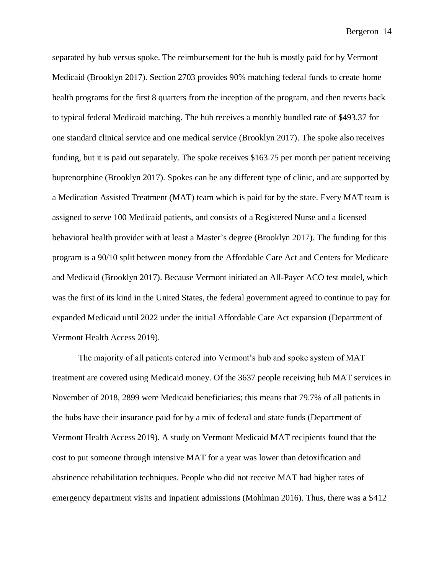separated by hub versus spoke. The reimbursement for the hub is mostly paid for by Vermont Medicaid (Brooklyn 2017). Section 2703 provides 90% matching federal funds to create home health programs for the first 8 quarters from the inception of the program, and then reverts back to typical federal Medicaid matching. The hub receives a monthly bundled rate of \$493.37 for one standard clinical service and one medical service (Brooklyn 2017). The spoke also receives funding, but it is paid out separately. The spoke receives \$163.75 per month per patient receiving buprenorphine (Brooklyn 2017). Spokes can be any different type of clinic, and are supported by a Medication Assisted Treatment (MAT) team which is paid for by the state. Every MAT team is assigned to serve 100 Medicaid patients, and consists of a Registered Nurse and a licensed behavioral health provider with at least a Master's degree (Brooklyn 2017). The funding for this program is a 90/10 split between money from the Affordable Care Act and Centers for Medicare and Medicaid (Brooklyn 2017). Because Vermont initiated an All-Payer ACO test model, which was the first of its kind in the United States, the federal government agreed to continue to pay for expanded Medicaid until 2022 under the initial Affordable Care Act expansion (Department of Vermont Health Access 2019).

The majority of all patients entered into Vermont's hub and spoke system of MAT treatment are covered using Medicaid money. Of the 3637 people receiving hub MAT services in November of 2018, 2899 were Medicaid beneficiaries; this means that 79.7% of all patients in the hubs have their insurance paid for by a mix of federal and state funds (Department of Vermont Health Access 2019). A study on Vermont Medicaid MAT recipients found that the cost to put someone through intensive MAT for a year was lower than detoxification and abstinence rehabilitation techniques. People who did not receive MAT had higher rates of emergency department visits and inpatient admissions (Mohlman 2016). Thus, there was a \$412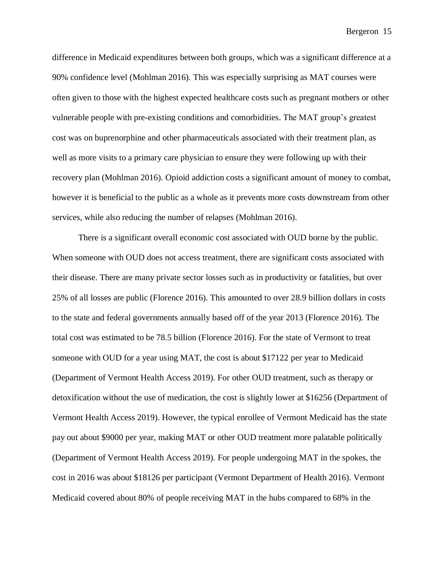difference in Medicaid expenditures between both groups, which was a significant difference at a 90% confidence level (Mohlman 2016). This was especially surprising as MAT courses were often given to those with the highest expected healthcare costs such as pregnant mothers or other vulnerable people with pre-existing conditions and comorbidities. The MAT group's greatest cost was on buprenorphine and other pharmaceuticals associated with their treatment plan, as well as more visits to a primary care physician to ensure they were following up with their recovery plan (Mohlman 2016). Opioid addiction costs a significant amount of money to combat, however it is beneficial to the public as a whole as it prevents more costs downstream from other services, while also reducing the number of relapses (Mohlman 2016).

There is a significant overall economic cost associated with OUD borne by the public. When someone with OUD does not access treatment, there are significant costs associated with their disease. There are many private sector losses such as in productivity or fatalities, but over 25% of all losses are public (Florence 2016). This amounted to over 28.9 billion dollars in costs to the state and federal governments annually based off of the year 2013 (Florence 2016). The total cost was estimated to be 78.5 billion (Florence 2016). For the state of Vermont to treat someone with OUD for a year using MAT, the cost is about \$17122 per year to Medicaid (Department of Vermont Health Access 2019). For other OUD treatment, such as therapy or detoxification without the use of medication, the cost is slightly lower at \$16256 (Department of Vermont Health Access 2019). However, the typical enrollee of Vermont Medicaid has the state pay out about \$9000 per year, making MAT or other OUD treatment more palatable politically (Department of Vermont Health Access 2019). For people undergoing MAT in the spokes, the cost in 2016 was about \$18126 per participant (Vermont Department of Health 2016). Vermont Medicaid covered about 80% of people receiving MAT in the hubs compared to 68% in the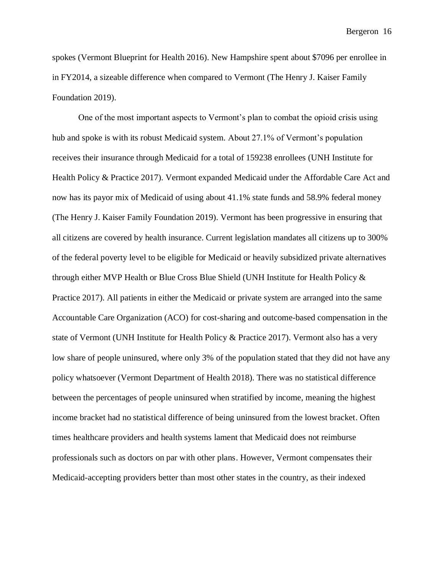spokes (Vermont Blueprint for Health 2016). New Hampshire spent about \$7096 per enrollee in in FY2014, a sizeable difference when compared to Vermont (The Henry J. Kaiser Family Foundation 2019).

One of the most important aspects to Vermont's plan to combat the opioid crisis using hub and spoke is with its robust Medicaid system. About 27.1% of Vermont's population receives their insurance through Medicaid for a total of 159238 enrollees (UNH Institute for Health Policy & Practice 2017). Vermont expanded Medicaid under the Affordable Care Act and now has its payor mix of Medicaid of using about 41.1% state funds and 58.9% federal money (The Henry J. Kaiser Family Foundation 2019). Vermont has been progressive in ensuring that all citizens are covered by health insurance. Current legislation mandates all citizens up to 300% of the federal poverty level to be eligible for Medicaid or heavily subsidized private alternatives through either MVP Health or Blue Cross Blue Shield (UNH Institute for Health Policy & Practice 2017). All patients in either the Medicaid or private system are arranged into the same Accountable Care Organization (ACO) for cost-sharing and outcome-based compensation in the state of Vermont (UNH Institute for Health Policy & Practice 2017). Vermont also has a very low share of people uninsured, where only 3% of the population stated that they did not have any policy whatsoever (Vermont Department of Health 2018). There was no statistical difference between the percentages of people uninsured when stratified by income, meaning the highest income bracket had no statistical difference of being uninsured from the lowest bracket. Often times healthcare providers and health systems lament that Medicaid does not reimburse professionals such as doctors on par with other plans. However, Vermont compensates their Medicaid-accepting providers better than most other states in the country, as their indexed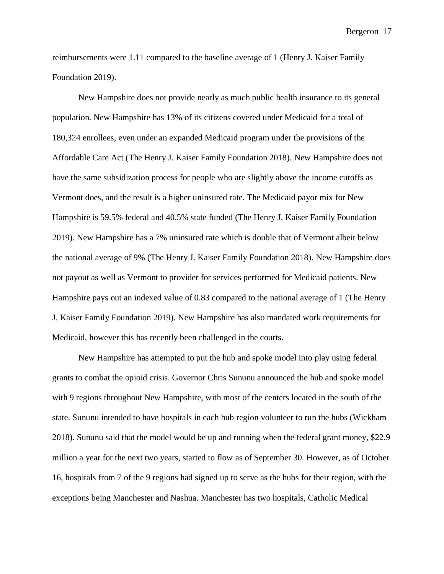reimbursements were 1.11 compared to the baseline average of 1 (Henry J. Kaiser Family Foundation 2019).

New Hampshire does not provide nearly as much public health insurance to its general population. New Hampshire has 13% of its citizens covered under Medicaid for a total of 180,324 enrollees, even under an expanded Medicaid program under the provisions of the Affordable Care Act (The Henry J. Kaiser Family Foundation 2018). New Hampshire does not have the same subsidization process for people who are slightly above the income cutoffs as Vermont does, and the result is a higher uninsured rate. The Medicaid payor mix for New Hampshire is 59.5% federal and 40.5% state funded (The Henry J. Kaiser Family Foundation 2019). New Hampshire has a 7% uninsured rate which is double that of Vermont albeit below the national average of 9% (The Henry J. Kaiser Family Foundation 2018). New Hampshire does not payout as well as Vermont to provider for services performed for Medicaid patients. New Hampshire pays out an indexed value of 0.83 compared to the national average of 1 (The Henry J. Kaiser Family Foundation 2019). New Hampshire has also mandated work requirements for Medicaid, however this has recently been challenged in the courts.

New Hampshire has attempted to put the hub and spoke model into play using federal grants to combat the opioid crisis. Governor Chris Sununu announced the hub and spoke model with 9 regions throughout New Hampshire, with most of the centers located in the south of the state. Sununu intended to have hospitals in each hub region volunteer to run the hubs (Wickham 2018). Sununu said that the model would be up and running when the federal grant money, \$22.9 million a year for the next two years, started to flow as of September 30. However, as of October 16, hospitals from 7 of the 9 regions had signed up to serve as the hubs for their region, with the exceptions being Manchester and Nashua. Manchester has two hospitals, Catholic Medical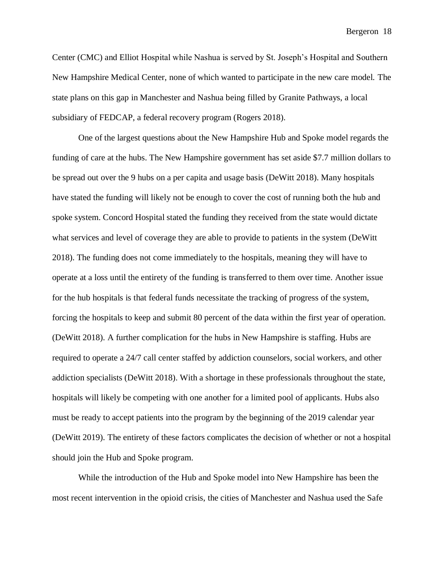Center (CMC) and Elliot Hospital while Nashua is served by St. Joseph's Hospital and Southern New Hampshire Medical Center, none of which wanted to participate in the new care model. The state plans on this gap in Manchester and Nashua being filled by Granite Pathways, a local subsidiary of FEDCAP, a federal recovery program (Rogers 2018).

One of the largest questions about the New Hampshire Hub and Spoke model regards the funding of care at the hubs. The New Hampshire government has set aside \$7.7 million dollars to be spread out over the 9 hubs on a per capita and usage basis (DeWitt 2018). Many hospitals have stated the funding will likely not be enough to cover the cost of running both the hub and spoke system. Concord Hospital stated the funding they received from the state would dictate what services and level of coverage they are able to provide to patients in the system (DeWitt 2018). The funding does not come immediately to the hospitals, meaning they will have to operate at a loss until the entirety of the funding is transferred to them over time. Another issue for the hub hospitals is that federal funds necessitate the tracking of progress of the system, forcing the hospitals to keep and submit 80 percent of the data within the first year of operation. (DeWitt 2018). A further complication for the hubs in New Hampshire is staffing. Hubs are required to operate a 24/7 call center staffed by addiction counselors, social workers, and other addiction specialists (DeWitt 2018). With a shortage in these professionals throughout the state, hospitals will likely be competing with one another for a limited pool of applicants. Hubs also must be ready to accept patients into the program by the beginning of the 2019 calendar year (DeWitt 2019). The entirety of these factors complicates the decision of whether or not a hospital should join the Hub and Spoke program.

While the introduction of the Hub and Spoke model into New Hampshire has been the most recent intervention in the opioid crisis, the cities of Manchester and Nashua used the Safe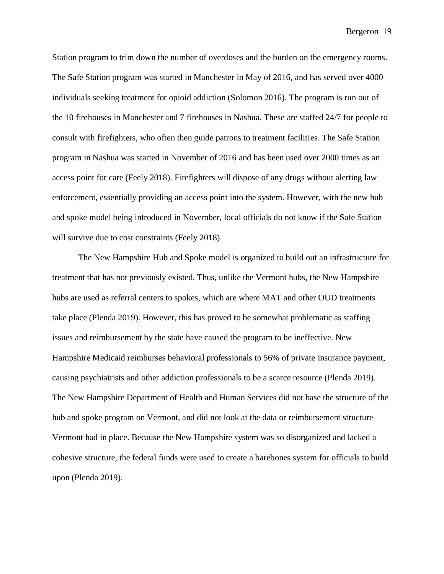Station program to trim down the number of overdoses and the burden on the emergency rooms. The Safe Station program was started in Manchester in May of 2016, and has served over 4000 individuals seeking treatment for opioid addiction (Solomon 2016). The program is run out of the 10 firehouses in Manchester and 7 firehouses in Nashua. These are staffed 24/7 for people to consult with firefighters, who often then guide patrons to treatment facilities. The Safe Station program in Nashua was started in November of 2016 and has been used over 2000 times as an access point for care (Feely 2018). Firefighters will dispose of any drugs without alerting law enforcement, essentially providing an access point into the system. However, with the new hub and spoke model being introduced in November, local officials do not know if the Safe Station will survive due to cost constraints (Feely 2018).

The New Hampshire Hub and Spoke model is organized to build out an infrastructure for treatment that has not previously existed. Thus, unlike the Vermont hubs, the New Hampshire hubs are used as referral centers to spokes, which are where MAT and other OUD treatments take place (Plenda 2019). However, this has proved to be somewhat problematic as staffing issues and reimbursement by the state have caused the program to be ineffective. New Hampshire Medicaid reimburses behavioral professionals to 56% of private insurance payment, causing psychiatrists and other addiction professionals to be a scarce resource (Plenda 2019). The New Hampshire Department of Health and Human Services did not base the structure of the hub and spoke program on Vermont, and did not look at the data or reimbursement structure Vermont had in place. Because the New Hampshire system was so disorganized and lacked a cohesive structure, the federal funds were used to create a barebones system for officials to build upon (Plenda 2019).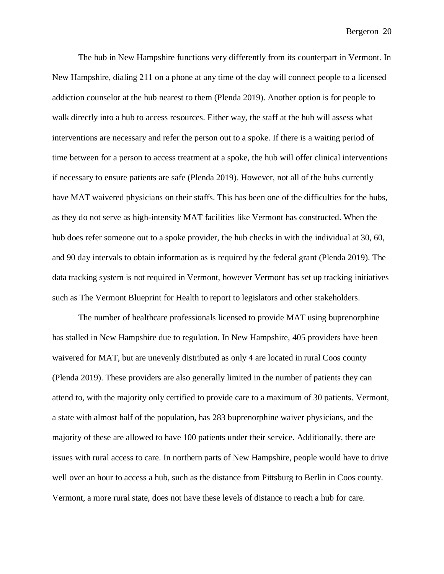The hub in New Hampshire functions very differently from its counterpart in Vermont. In New Hampshire, dialing 211 on a phone at any time of the day will connect people to a licensed addiction counselor at the hub nearest to them (Plenda 2019). Another option is for people to walk directly into a hub to access resources. Either way, the staff at the hub will assess what interventions are necessary and refer the person out to a spoke. If there is a waiting period of time between for a person to access treatment at a spoke, the hub will offer clinical interventions if necessary to ensure patients are safe (Plenda 2019). However, not all of the hubs currently have MAT waivered physicians on their staffs. This has been one of the difficulties for the hubs, as they do not serve as high-intensity MAT facilities like Vermont has constructed. When the hub does refer someone out to a spoke provider, the hub checks in with the individual at 30, 60, and 90 day intervals to obtain information as is required by the federal grant (Plenda 2019). The data tracking system is not required in Vermont, however Vermont has set up tracking initiatives such as The Vermont Blueprint for Health to report to legislators and other stakeholders.

The number of healthcare professionals licensed to provide MAT using buprenorphine has stalled in New Hampshire due to regulation. In New Hampshire, 405 providers have been waivered for MAT, but are unevenly distributed as only 4 are located in rural Coos county (Plenda 2019). These providers are also generally limited in the number of patients they can attend to, with the majority only certified to provide care to a maximum of 30 patients. Vermont, a state with almost half of the population, has 283 buprenorphine waiver physicians, and the majority of these are allowed to have 100 patients under their service. Additionally, there are issues with rural access to care. In northern parts of New Hampshire, people would have to drive well over an hour to access a hub, such as the distance from Pittsburg to Berlin in Coos county. Vermont, a more rural state, does not have these levels of distance to reach a hub for care.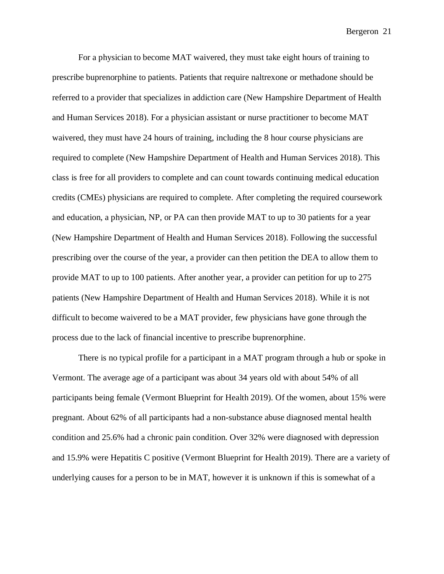For a physician to become MAT waivered, they must take eight hours of training to prescribe buprenorphine to patients. Patients that require naltrexone or methadone should be referred to a provider that specializes in addiction care (New Hampshire Department of Health and Human Services 2018). For a physician assistant or nurse practitioner to become MAT waivered, they must have 24 hours of training, including the 8 hour course physicians are required to complete (New Hampshire Department of Health and Human Services 2018). This class is free for all providers to complete and can count towards continuing medical education credits (CMEs) physicians are required to complete. After completing the required coursework and education, a physician, NP, or PA can then provide MAT to up to 30 patients for a year (New Hampshire Department of Health and Human Services 2018). Following the successful prescribing over the course of the year, a provider can then petition the DEA to allow them to provide MAT to up to 100 patients. After another year, a provider can petition for up to 275 patients (New Hampshire Department of Health and Human Services 2018). While it is not difficult to become waivered to be a MAT provider, few physicians have gone through the process due to the lack of financial incentive to prescribe buprenorphine.

There is no typical profile for a participant in a MAT program through a hub or spoke in Vermont. The average age of a participant was about 34 years old with about 54% of all participants being female (Vermont Blueprint for Health 2019). Of the women, about 15% were pregnant. About 62% of all participants had a non-substance abuse diagnosed mental health condition and 25.6% had a chronic pain condition. Over 32% were diagnosed with depression and 15.9% were Hepatitis C positive (Vermont Blueprint for Health 2019). There are a variety of underlying causes for a person to be in MAT, however it is unknown if this is somewhat of a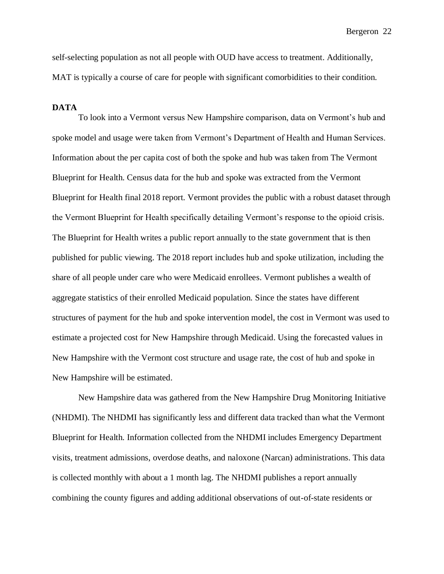self-selecting population as not all people with OUD have access to treatment. Additionally, MAT is typically a course of care for people with significant comorbidities to their condition.

# **DATA**

To look into a Vermont versus New Hampshire comparison, data on Vermont's hub and spoke model and usage were taken from Vermont's Department of Health and Human Services. Information about the per capita cost of both the spoke and hub was taken from The Vermont Blueprint for Health. Census data for the hub and spoke was extracted from the Vermont Blueprint for Health final 2018 report. Vermont provides the public with a robust dataset through the Vermont Blueprint for Health specifically detailing Vermont's response to the opioid crisis. The Blueprint for Health writes a public report annually to the state government that is then published for public viewing. The 2018 report includes hub and spoke utilization, including the share of all people under care who were Medicaid enrollees. Vermont publishes a wealth of aggregate statistics of their enrolled Medicaid population. Since the states have different structures of payment for the hub and spoke intervention model, the cost in Vermont was used to estimate a projected cost for New Hampshire through Medicaid. Using the forecasted values in New Hampshire with the Vermont cost structure and usage rate, the cost of hub and spoke in New Hampshire will be estimated.

New Hampshire data was gathered from the New Hampshire Drug Monitoring Initiative (NHDMI). The NHDMI has significantly less and different data tracked than what the Vermont Blueprint for Health. Information collected from the NHDMI includes Emergency Department visits, treatment admissions, overdose deaths, and naloxone (Narcan) administrations. This data is collected monthly with about a 1 month lag. The NHDMI publishes a report annually combining the county figures and adding additional observations of out-of-state residents or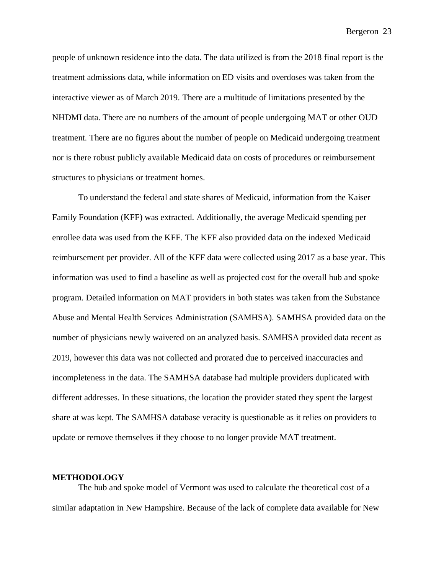people of unknown residence into the data. The data utilized is from the 2018 final report is the treatment admissions data, while information on ED visits and overdoses was taken from the interactive viewer as of March 2019. There are a multitude of limitations presented by the NHDMI data. There are no numbers of the amount of people undergoing MAT or other OUD treatment. There are no figures about the number of people on Medicaid undergoing treatment nor is there robust publicly available Medicaid data on costs of procedures or reimbursement structures to physicians or treatment homes.

To understand the federal and state shares of Medicaid, information from the Kaiser Family Foundation (KFF) was extracted. Additionally, the average Medicaid spending per enrollee data was used from the KFF. The KFF also provided data on the indexed Medicaid reimbursement per provider. All of the KFF data were collected using 2017 as a base year. This information was used to find a baseline as well as projected cost for the overall hub and spoke program. Detailed information on MAT providers in both states was taken from the Substance Abuse and Mental Health Services Administration (SAMHSA). SAMHSA provided data on the number of physicians newly waivered on an analyzed basis. SAMHSA provided data recent as 2019, however this data was not collected and prorated due to perceived inaccuracies and incompleteness in the data. The SAMHSA database had multiple providers duplicated with different addresses. In these situations, the location the provider stated they spent the largest share at was kept. The SAMHSA database veracity is questionable as it relies on providers to update or remove themselves if they choose to no longer provide MAT treatment.

### **METHODOLOGY**

The hub and spoke model of Vermont was used to calculate the theoretical cost of a similar adaptation in New Hampshire. Because of the lack of complete data available for New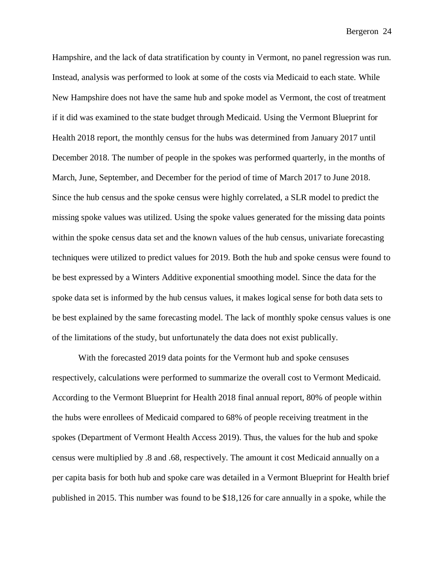Hampshire, and the lack of data stratification by county in Vermont, no panel regression was run. Instead, analysis was performed to look at some of the costs via Medicaid to each state. While New Hampshire does not have the same hub and spoke model as Vermont, the cost of treatment if it did was examined to the state budget through Medicaid. Using the Vermont Blueprint for Health 2018 report, the monthly census for the hubs was determined from January 2017 until December 2018. The number of people in the spokes was performed quarterly, in the months of March, June, September, and December for the period of time of March 2017 to June 2018. Since the hub census and the spoke census were highly correlated, a SLR model to predict the missing spoke values was utilized. Using the spoke values generated for the missing data points within the spoke census data set and the known values of the hub census, univariate forecasting techniques were utilized to predict values for 2019. Both the hub and spoke census were found to be best expressed by a Winters Additive exponential smoothing model. Since the data for the spoke data set is informed by the hub census values, it makes logical sense for both data sets to be best explained by the same forecasting model. The lack of monthly spoke census values is one of the limitations of the study, but unfortunately the data does not exist publically.

With the forecasted 2019 data points for the Vermont hub and spoke censuses respectively, calculations were performed to summarize the overall cost to Vermont Medicaid. According to the Vermont Blueprint for Health 2018 final annual report, 80% of people within the hubs were enrollees of Medicaid compared to 68% of people receiving treatment in the spokes (Department of Vermont Health Access 2019). Thus, the values for the hub and spoke census were multiplied by .8 and .68, respectively. The amount it cost Medicaid annually on a per capita basis for both hub and spoke care was detailed in a Vermont Blueprint for Health brief published in 2015. This number was found to be \$18,126 for care annually in a spoke, while the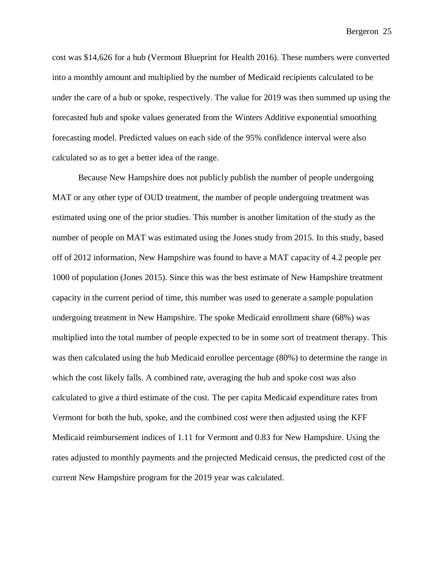cost was \$14,626 for a hub (Vermont Blueprint for Health 2016). These numbers were converted into a monthly amount and multiplied by the number of Medicaid recipients calculated to be under the care of a hub or spoke, respectively. The value for 2019 was then summed up using the forecasted hub and spoke values generated from the Winters Additive exponential smoothing forecasting model. Predicted values on each side of the 95% confidence interval were also calculated so as to get a better idea of the range.

Because New Hampshire does not publicly publish the number of people undergoing MAT or any other type of OUD treatment, the number of people undergoing treatment was estimated using one of the prior studies. This number is another limitation of the study as the number of people on MAT was estimated using the Jones study from 2015. In this study, based off of 2012 information, New Hampshire was found to have a MAT capacity of 4.2 people per 1000 of population (Jones 2015). Since this was the best estimate of New Hampshire treatment capacity in the current period of time, this number was used to generate a sample population undergoing treatment in New Hampshire. The spoke Medicaid enrollment share (68%) was multiplied into the total number of people expected to be in some sort of treatment therapy. This was then calculated using the hub Medicaid enrollee percentage (80%) to determine the range in which the cost likely falls. A combined rate, averaging the hub and spoke cost was also calculated to give a third estimate of the cost. The per capita Medicaid expenditure rates from Vermont for both the hub, spoke, and the combined cost were then adjusted using the KFF Medicaid reimbursement indices of 1.11 for Vermont and 0.83 for New Hampshire. Using the rates adjusted to monthly payments and the projected Medicaid census, the predicted cost of the current New Hampshire program for the 2019 year was calculated.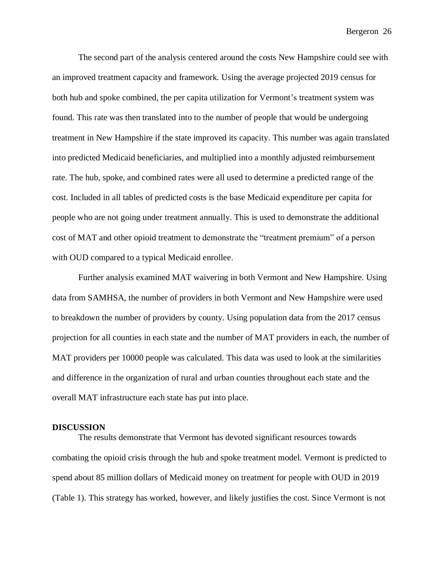The second part of the analysis centered around the costs New Hampshire could see with an improved treatment capacity and framework. Using the average projected 2019 census for both hub and spoke combined, the per capita utilization for Vermont's treatment system was found. This rate was then translated into to the number of people that would be undergoing treatment in New Hampshire if the state improved its capacity. This number was again translated into predicted Medicaid beneficiaries, and multiplied into a monthly adjusted reimbursement rate. The hub, spoke, and combined rates were all used to determine a predicted range of the cost. Included in all tables of predicted costs is the base Medicaid expenditure per capita for people who are not going under treatment annually. This is used to demonstrate the additional cost of MAT and other opioid treatment to demonstrate the "treatment premium" of a person with OUD compared to a typical Medicaid enrollee.

Further analysis examined MAT waivering in both Vermont and New Hampshire. Using data from SAMHSA, the number of providers in both Vermont and New Hampshire were used to breakdown the number of providers by county. Using population data from the 2017 census projection for all counties in each state and the number of MAT providers in each, the number of MAT providers per 10000 people was calculated. This data was used to look at the similarities and difference in the organization of rural and urban counties throughout each state and the overall MAT infrastructure each state has put into place.

## **DISCUSSION**

The results demonstrate that Vermont has devoted significant resources towards combating the opioid crisis through the hub and spoke treatment model. Vermont is predicted to spend about 85 million dollars of Medicaid money on treatment for people with OUD in 2019 (Table 1). This strategy has worked, however, and likely justifies the cost. Since Vermont is not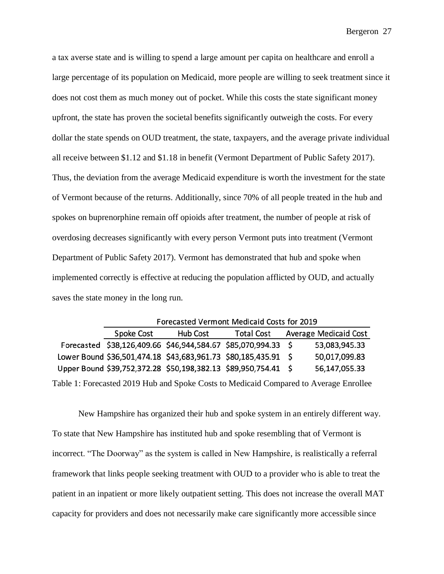a tax averse state and is willing to spend a large amount per capita on healthcare and enroll a large percentage of its population on Medicaid, more people are willing to seek treatment since it does not cost them as much money out of pocket. While this costs the state significant money upfront, the state has proven the societal benefits significantly outweigh the costs. For every dollar the state spends on OUD treatment, the state, taxpayers, and the average private individual all receive between \$1.12 and \$1.18 in benefit (Vermont Department of Public Safety 2017). Thus, the deviation from the average Medicaid expenditure is worth the investment for the state of Vermont because of the returns. Additionally, since 70% of all people treated in the hub and spokes on buprenorphine remain off opioids after treatment, the number of people at risk of overdosing decreases significantly with every person Vermont puts into treatment (Vermont Department of Public Safety 2017). Vermont has demonstrated that hub and spoke when implemented correctly is effective at reducing the population afflicted by OUD, and actually saves the state money in the long run.

|                                                                                       | Forecasted Vermont Medicaid Costs for 2019 |          |                                                                |  |                              |  |  |  |  |  |  |
|---------------------------------------------------------------------------------------|--------------------------------------------|----------|----------------------------------------------------------------|--|------------------------------|--|--|--|--|--|--|
|                                                                                       | Spoke Cost                                 | Hub Cost | <b>Total Cost</b>                                              |  | <b>Average Medicaid Cost</b> |  |  |  |  |  |  |
|                                                                                       |                                            |          | Forecasted \$38,126,409.66 \$46,944,584.67 \$85,070,994.33 \$  |  | 53,083,945.33                |  |  |  |  |  |  |
|                                                                                       |                                            |          | Lower Bound \$36,501,474.18 \$43,683,961.73 \$80,185,435.91 \$ |  | 50,017,099.83                |  |  |  |  |  |  |
|                                                                                       |                                            |          | Upper Bound \$39,752,372.28 \$50,198,382.13 \$89,950,754.41 \$ |  | 56,147,055.33                |  |  |  |  |  |  |
| Table 1: Forecasted 2019 Hub and Spoke Costs to Medicaid Compared to Average Enrollee |                                            |          |                                                                |  |                              |  |  |  |  |  |  |

New Hampshire has organized their hub and spoke system in an entirely different way. To state that New Hampshire has instituted hub and spoke resembling that of Vermont is incorrect. "The Doorway" as the system is called in New Hampshire, is realistically a referral framework that links people seeking treatment with OUD to a provider who is able to treat the patient in an inpatient or more likely outpatient setting. This does not increase the overall MAT capacity for providers and does not necessarily make care significantly more accessible since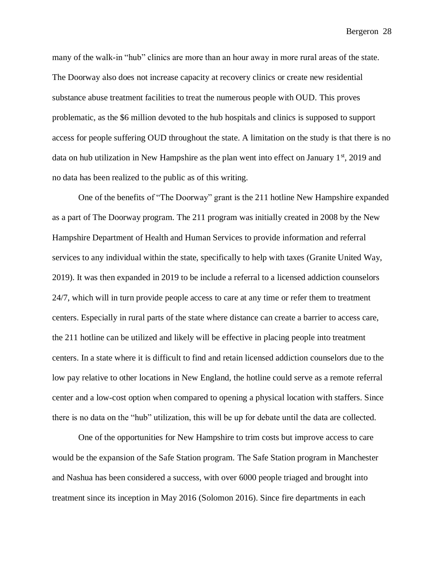many of the walk-in "hub" clinics are more than an hour away in more rural areas of the state. The Doorway also does not increase capacity at recovery clinics or create new residential substance abuse treatment facilities to treat the numerous people with OUD. This proves problematic, as the \$6 million devoted to the hub hospitals and clinics is supposed to support access for people suffering OUD throughout the state. A limitation on the study is that there is no data on hub utilization in New Hampshire as the plan went into effect on January  $1<sup>st</sup>$ , 2019 and no data has been realized to the public as of this writing.

One of the benefits of "The Doorway" grant is the 211 hotline New Hampshire expanded as a part of The Doorway program. The 211 program was initially created in 2008 by the New Hampshire Department of Health and Human Services to provide information and referral services to any individual within the state, specifically to help with taxes (Granite United Way, 2019). It was then expanded in 2019 to be include a referral to a licensed addiction counselors 24/7, which will in turn provide people access to care at any time or refer them to treatment centers. Especially in rural parts of the state where distance can create a barrier to access care, the 211 hotline can be utilized and likely will be effective in placing people into treatment centers. In a state where it is difficult to find and retain licensed addiction counselors due to the low pay relative to other locations in New England, the hotline could serve as a remote referral center and a low-cost option when compared to opening a physical location with staffers. Since there is no data on the "hub" utilization, this will be up for debate until the data are collected.

One of the opportunities for New Hampshire to trim costs but improve access to care would be the expansion of the Safe Station program. The Safe Station program in Manchester and Nashua has been considered a success, with over 6000 people triaged and brought into treatment since its inception in May 2016 (Solomon 2016). Since fire departments in each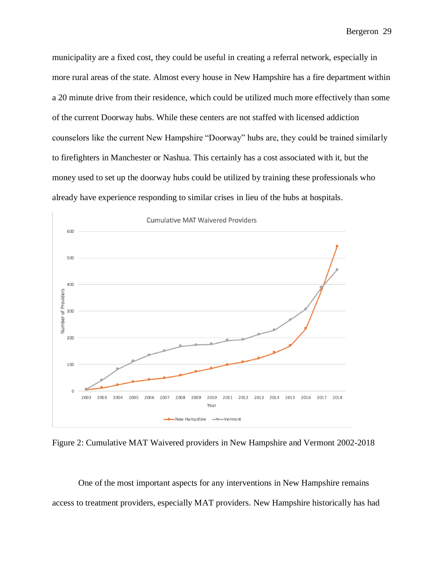municipality are a fixed cost, they could be useful in creating a referral network, especially in more rural areas of the state. Almost every house in New Hampshire has a fire department within a 20 minute drive from their residence, which could be utilized much more effectively than some of the current Doorway hubs. While these centers are not staffed with licensed addiction counselors like the current New Hampshire "Doorway" hubs are, they could be trained similarly to firefighters in Manchester or Nashua. This certainly has a cost associated with it, but the money used to set up the doorway hubs could be utilized by training these professionals who already have experience responding to similar crises in lieu of the hubs at hospitals.



Figure 2: Cumulative MAT Waivered providers in New Hampshire and Vermont 2002-2018

One of the most important aspects for any interventions in New Hampshire remains access to treatment providers, especially MAT providers. New Hampshire historically has had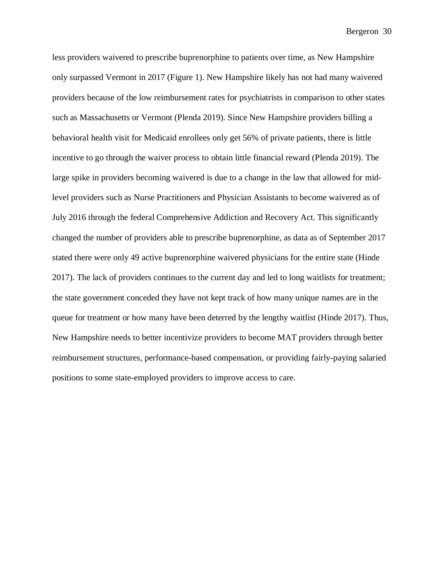less providers waivered to prescribe buprenorphine to patients over time, as New Hampshire only surpassed Vermont in 2017 (Figure 1). New Hampshire likely has not had many waivered providers because of the low reimbursement rates for psychiatrists in comparison to other states such as Massachusetts or Vermont (Plenda 2019). Since New Hampshire providers billing a behavioral health visit for Medicaid enrollees only get 56% of private patients, there is little incentive to go through the waiver process to obtain little financial reward (Plenda 2019). The large spike in providers becoming waivered is due to a change in the law that allowed for midlevel providers such as Nurse Practitioners and Physician Assistants to become waivered as of July 2016 through the federal Comprehensive Addiction and Recovery Act. This significantly changed the number of providers able to prescribe buprenorphine, as data as of September 2017 stated there were only 49 active buprenorphine waivered physicians for the entire state (Hinde 2017). The lack of providers continues to the current day and led to long waitlists for treatment; the state government conceded they have not kept track of how many unique names are in the queue for treatment or how many have been deterred by the lengthy waitlist (Hinde 2017). Thus, New Hampshire needs to better incentivize providers to become MAT providers through better reimbursement structures, performance-based compensation, or providing fairly-paying salaried positions to some state-employed providers to improve access to care.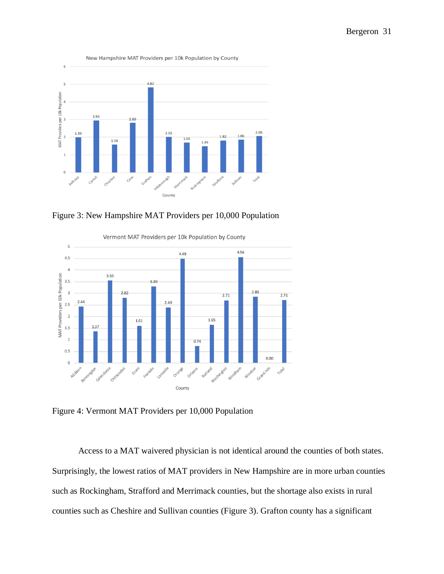

Figure 3: New Hampshire MAT Providers per 10,000 Population



Figure 4: Vermont MAT Providers per 10,000 Population

Access to a MAT waivered physician is not identical around the counties of both states. Surprisingly, the lowest ratios of MAT providers in New Hampshire are in more urban counties such as Rockingham, Strafford and Merrimack counties, but the shortage also exists in rural counties such as Cheshire and Sullivan counties (Figure 3). Grafton county has a significant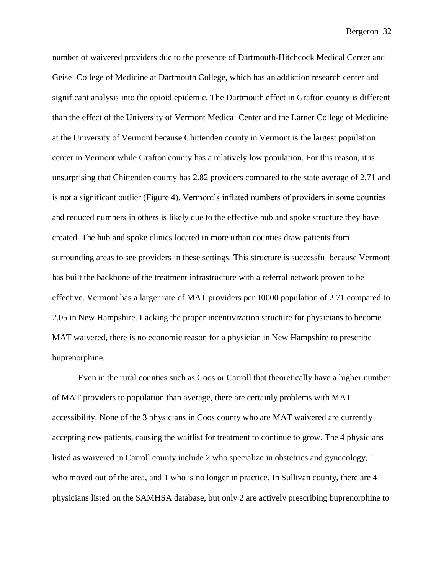number of waivered providers due to the presence of Dartmouth-Hitchcock Medical Center and Geisel College of Medicine at Dartmouth College, which has an addiction research center and significant analysis into the opioid epidemic. The Dartmouth effect in Grafton county is different than the effect of the University of Vermont Medical Center and the Larner College of Medicine at the University of Vermont because Chittenden county in Vermont is the largest population center in Vermont while Grafton county has a relatively low population. For this reason, it is unsurprising that Chittenden county has 2.82 providers compared to the state average of 2.71 and is not a significant outlier (Figure 4). Vermont's inflated numbers of providers in some counties and reduced numbers in others is likely due to the effective hub and spoke structure they have created. The hub and spoke clinics located in more urban counties draw patients from surrounding areas to see providers in these settings. This structure is successful because Vermont has built the backbone of the treatment infrastructure with a referral network proven to be effective. Vermont has a larger rate of MAT providers per 10000 population of 2.71 compared to 2.05 in New Hampshire. Lacking the proper incentivization structure for physicians to become MAT waivered, there is no economic reason for a physician in New Hampshire to prescribe buprenorphine.

Even in the rural counties such as Coos or Carroll that theoretically have a higher number of MAT providers to population than average, there are certainly problems with MAT accessibility. None of the 3 physicians in Coos county who are MAT waivered are currently accepting new patients, causing the waitlist for treatment to continue to grow. The 4 physicians listed as waivered in Carroll county include 2 who specialize in obstetrics and gynecology, 1 who moved out of the area, and 1 who is no longer in practice. In Sullivan county, there are 4 physicians listed on the SAMHSA database, but only 2 are actively prescribing buprenorphine to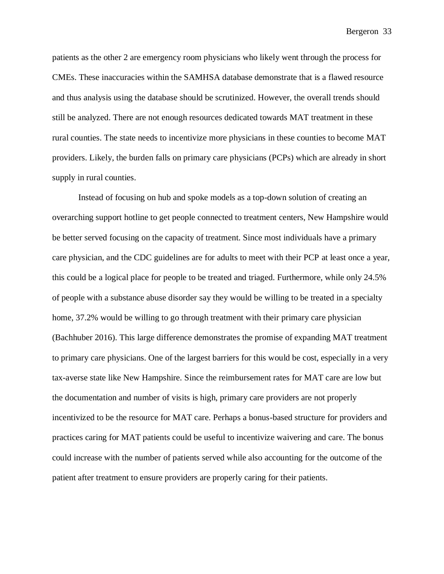patients as the other 2 are emergency room physicians who likely went through the process for CMEs. These inaccuracies within the SAMHSA database demonstrate that is a flawed resource and thus analysis using the database should be scrutinized. However, the overall trends should still be analyzed. There are not enough resources dedicated towards MAT treatment in these rural counties. The state needs to incentivize more physicians in these counties to become MAT providers. Likely, the burden falls on primary care physicians (PCPs) which are already in short supply in rural counties.

Instead of focusing on hub and spoke models as a top-down solution of creating an overarching support hotline to get people connected to treatment centers, New Hampshire would be better served focusing on the capacity of treatment. Since most individuals have a primary care physician, and the CDC guidelines are for adults to meet with their PCP at least once a year, this could be a logical place for people to be treated and triaged. Furthermore, while only 24.5% of people with a substance abuse disorder say they would be willing to be treated in a specialty home, 37.2% would be willing to go through treatment with their primary care physician (Bachhuber 2016). This large difference demonstrates the promise of expanding MAT treatment to primary care physicians. One of the largest barriers for this would be cost, especially in a very tax-averse state like New Hampshire. Since the reimbursement rates for MAT care are low but the documentation and number of visits is high, primary care providers are not properly incentivized to be the resource for MAT care. Perhaps a bonus-based structure for providers and practices caring for MAT patients could be useful to incentivize waivering and care. The bonus could increase with the number of patients served while also accounting for the outcome of the patient after treatment to ensure providers are properly caring for their patients.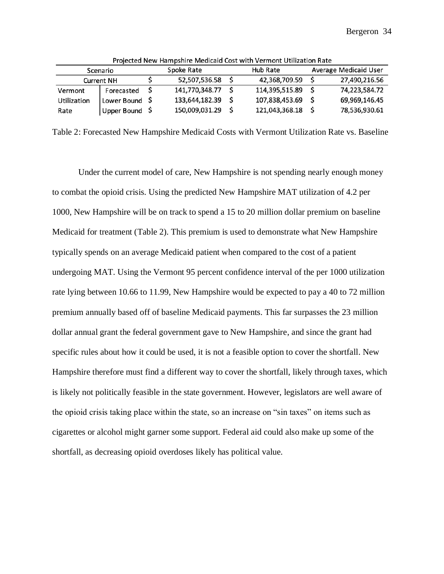| Scenario    |             |  | Spoke Rate     |  | Hub Rate       | Average Medicaid User |               |  |  |  |  |
|-------------|-------------|--|----------------|--|----------------|-----------------------|---------------|--|--|--|--|
| Current NH  |             |  | 52,507,536.58  |  | 42.368.709.59  |                       | 27,490,216.56 |  |  |  |  |
| Vermont     | Forecasted  |  | 141,770,348.77 |  | 114.395.515.89 |                       | 74,223,584.72 |  |  |  |  |
| Utilization | Lower Bound |  | 133,644,182.39 |  | 107,838,453.69 |                       | 69,969,146.45 |  |  |  |  |
| Rate        | Upper Bound |  | 150,009,031.29 |  | 121,043,368.18 |                       | 78,536,930.61 |  |  |  |  |

Projected New Hampshire Medicaid Cost with Vermont Utilization Rate

Table 2: Forecasted New Hampshire Medicaid Costs with Vermont Utilization Rate vs. Baseline

Under the current model of care, New Hampshire is not spending nearly enough money to combat the opioid crisis. Using the predicted New Hampshire MAT utilization of 4.2 per 1000, New Hampshire will be on track to spend a 15 to 20 million dollar premium on baseline Medicaid for treatment (Table 2). This premium is used to demonstrate what New Hampshire typically spends on an average Medicaid patient when compared to the cost of a patient undergoing MAT. Using the Vermont 95 percent confidence interval of the per 1000 utilization rate lying between 10.66 to 11.99, New Hampshire would be expected to pay a 40 to 72 million premium annually based off of baseline Medicaid payments. This far surpasses the 23 million dollar annual grant the federal government gave to New Hampshire, and since the grant had specific rules about how it could be used, it is not a feasible option to cover the shortfall. New Hampshire therefore must find a different way to cover the shortfall, likely through taxes, which is likely not politically feasible in the state government. However, legislators are well aware of the opioid crisis taking place within the state, so an increase on "sin taxes" on items such as cigarettes or alcohol might garner some support. Federal aid could also make up some of the shortfall, as decreasing opioid overdoses likely has political value.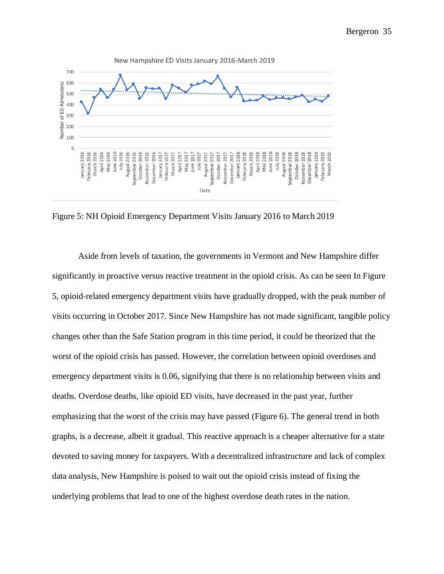

Figure 5: NH Opioid Emergency Department Visits January 2016 to March 2019

Aside from levels of taxation, the governments in Vermont and New Hampshire differ significantly in proactive versus reactive treatment in the opioid crisis. As can be seen In Figure 5, opioid-related emergency department visits have gradually dropped, with the peak number of visits occurring in October 2017. Since New Hampshire has not made significant, tangible policy changes other than the Safe Station program in this time period, it could be theorized that the worst of the opioid crisis has passed. However, the correlation between opioid overdoses and emergency department visits is 0.06, signifying that there is no relationship between visits and deaths. Overdose deaths, like opioid ED visits, have decreased in the past year, further emphasizing that the worst of the crisis may have passed (Figure 6). The general trend in both graphs, is a decrease, albeit it gradual. This reactive approach is a cheaper alternative for a state devoted to saving money for taxpayers. With a decentralized infrastructure and lack of complex data analysis, New Hampshire is poised to wait out the opioid crisis instead of fixing the underlying problems that lead to one of the highest overdose death rates in the nation.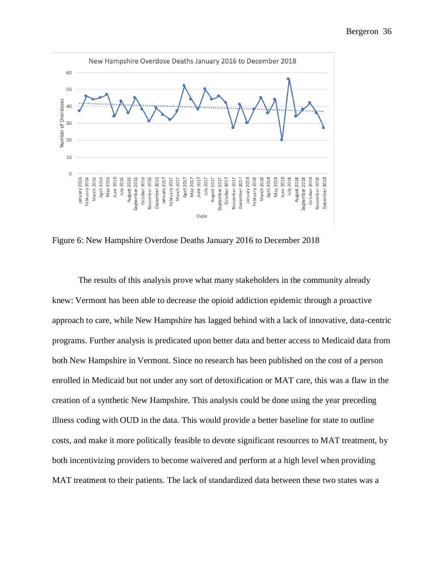

Figure 6: New Hampshire Overdose Deaths January 2016 to December 2018

The results of this analysis prove what many stakeholders in the community already knew: Vermont has been able to decrease the opioid addiction epidemic through a proactive approach to care, while New Hampshire has lagged behind with a lack of innovative, data-centric programs. Further analysis is predicated upon better data and better access to Medicaid data from both New Hampshire in Vermont. Since no research has been published on the cost of a person enrolled in Medicaid but not under any sort of detoxification or MAT care, this was a flaw in the creation of a synthetic New Hampshire. This analysis could be done using the year preceding illness coding with OUD in the data. This would provide a better baseline for state to outline costs, and make it more politically feasible to devote significant resources to MAT treatment, by both incentivizing providers to become waivered and perform at a high level when providing MAT treatment to their patients. The lack of standardized data between these two states was a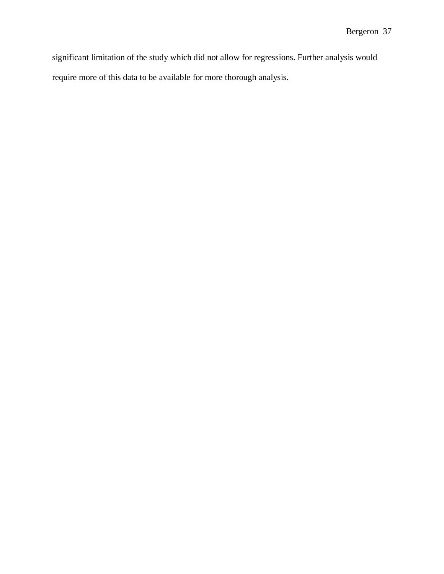significant limitation of the study which did not allow for regressions. Further analysis would require more of this data to be available for more thorough analysis.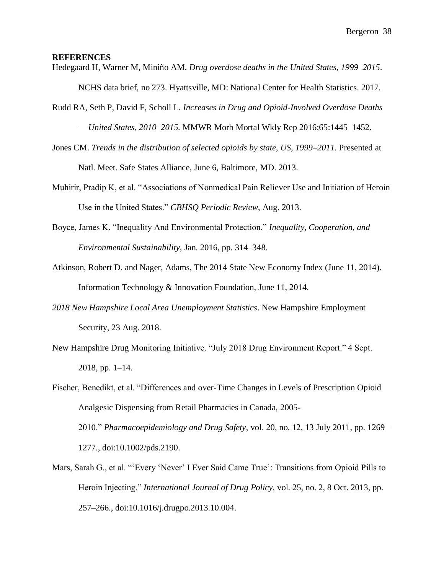### **REFERENCES**

Hedegaard H, Warner M, Miniño AM. *Drug overdose deaths in the United States, 1999–2015*.

NCHS data brief, no 273. Hyattsville, MD: National Center for Health Statistics. 2017.

Rudd RA, Seth P, David F, Scholl L*. Increases in Drug and Opioid-Involved Overdose Deaths* 

*— United States, 2010–2015.* MMWR Morb Mortal Wkly Rep 2016;65:1445–1452.

- Jones CM. *Trends in the distribution of selected opioids by state, US, 1999–2011*. Presented at Natl. Meet. Safe States Alliance, June 6, Baltimore, MD. 2013.
- Muhirir, Pradip K, et al. "Associations of Nonmedical Pain Reliever Use and Initiation of Heroin Use in the United States." *CBHSQ Periodic Review*, Aug. 2013.
- Boyce, James K. "Inequality And Environmental Protection." *Inequality, Cooperation, and Environmental Sustainability*, Jan. 2016, pp. 314–348.
- Atkinson, Robert D. and Nager, Adams, The 2014 State New Economy Index (June 11, 2014). Information Technology & Innovation Foundation, June 11, 2014.
- *2018 New Hampshire Local Area Unemployment Statistics*. New Hampshire Employment Security, 23 Aug. 2018.
- New Hampshire Drug Monitoring Initiative. "July 2018 Drug Environment Report." 4 Sept. 2018, pp. 1–14.
- Fischer, Benedikt, et al. "Differences and over-Time Changes in Levels of Prescription Opioid Analgesic Dispensing from Retail Pharmacies in Canada, 2005- 2010." *Pharmacoepidemiology and Drug Safety*, vol. 20, no. 12, 13 July 2011, pp. 1269– 1277., doi:10.1002/pds.2190.
- Mars, Sarah G., et al. "'Every 'Never' I Ever Said Came True': Transitions from Opioid Pills to Heroin Injecting." *International Journal of Drug Policy*, vol. 25, no. 2, 8 Oct. 2013, pp. 257–266., doi:10.1016/j.drugpo.2013.10.004.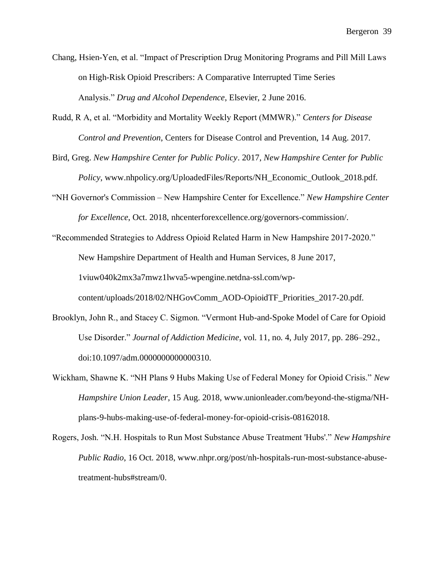- Chang, Hsien-Yen, et al. "Impact of Prescription Drug Monitoring Programs and Pill Mill Laws on High-Risk Opioid Prescribers: A Comparative Interrupted Time Series Analysis." *Drug and Alcohol Dependence*, Elsevier, 2 June 2016.
- Rudd, R A, et al. "Morbidity and Mortality Weekly Report (MMWR)." *Centers for Disease Control and Prevention*, Centers for Disease Control and Prevention, 14 Aug. 2017.
- Bird, Greg. *New Hampshire Center for Public Policy*. 2017, *New Hampshire Center for Public Policy*, www.nhpolicy.org/UploadedFiles/Reports/NH\_Economic\_Outlook\_2018.pdf.
- "NH Governor's Commission New Hampshire Center for Excellence." *New Hampshire Center for Excellence*, Oct. 2018, nhcenterforexcellence.org/governors-commission/.
- "Recommended Strategies to Address Opioid Related Harm in New Hampshire 2017-2020." New Hampshire Department of Health and Human Services, 8 June 2017, 1viuw040k2mx3a7mwz1lwva5-wpengine.netdna-ssl.com/wpcontent/uploads/2018/02/NHGovComm\_AOD-OpioidTF\_Priorities\_2017-20.pdf.
- Brooklyn, John R., and Stacey C. Sigmon. "Vermont Hub-and-Spoke Model of Care for Opioid Use Disorder." *Journal of Addiction Medicine*, vol. 11, no. 4, July 2017, pp. 286–292., doi:10.1097/adm.0000000000000310.
- Wickham, Shawne K. "NH Plans 9 Hubs Making Use of Federal Money for Opioid Crisis." *New Hampshire Union Leader*, 15 Aug. 2018, www.unionleader.com/beyond-the-stigma/NHplans-9-hubs-making-use-of-federal-money-for-opioid-crisis-08162018.
- Rogers, Josh. "N.H. Hospitals to Run Most Substance Abuse Treatment 'Hubs'." *New Hampshire Public Radio*, 16 Oct. 2018, www.nhpr.org/post/nh-hospitals-run-most-substance-abusetreatment-hubs#stream/0.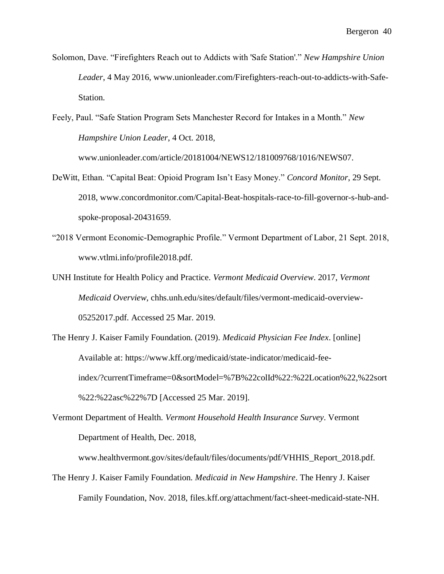Solomon, Dave. "Firefighters Reach out to Addicts with 'Safe Station'." *New Hampshire Union Leader*, 4 May 2016, www.unionleader.com/Firefighters-reach-out-to-addicts-with-Safe-Station.

Feely, Paul. "Safe Station Program Sets Manchester Record for Intakes in a Month." *New Hampshire Union Leader*, 4 Oct. 2018,

www.unionleader.com/article/20181004/NEWS12/181009768/1016/NEWS07.

- DeWitt, Ethan. "Capital Beat: Opioid Program Isn't Easy Money." *Concord Monitor*, 29 Sept. 2018, www.concordmonitor.com/Capital-Beat-hospitals-race-to-fill-governor-s-hub-andspoke-proposal-20431659.
- "2018 Vermont Economic-Demographic Profile." Vermont Department of Labor, 21 Sept. 2018, www.vtlmi.info/profile2018.pdf.
- UNH Institute for Health Policy and Practice. *Vermont Medicaid Overview*. 2017, *Vermont Medicaid Overview*, chhs.unh.edu/sites/default/files/vermont-medicaid-overview-05252017.pdf. Accessed 25 Mar. 2019.
- The Henry J. Kaiser Family Foundation. (2019). *Medicaid Physician Fee Index*. [online] Available at: https://www.kff.org/medicaid/state-indicator/medicaid-feeindex/?currentTimeframe=0&sortModel=%7B%22colId%22:%22Location%22,%22sort %22:%22asc%22%7D [Accessed 25 Mar. 2019].
- Vermont Department of Health. *Vermont Household Health Insurance Survey*. Vermont Department of Health, Dec. 2018,

www.healthvermont.gov/sites/default/files/documents/pdf/VHHIS\_Report\_2018.pdf.

The Henry J. Kaiser Family Foundation. *Medicaid in New Hampshire*. The Henry J. Kaiser Family Foundation, Nov. 2018, files.kff.org/attachment/fact-sheet-medicaid-state-NH.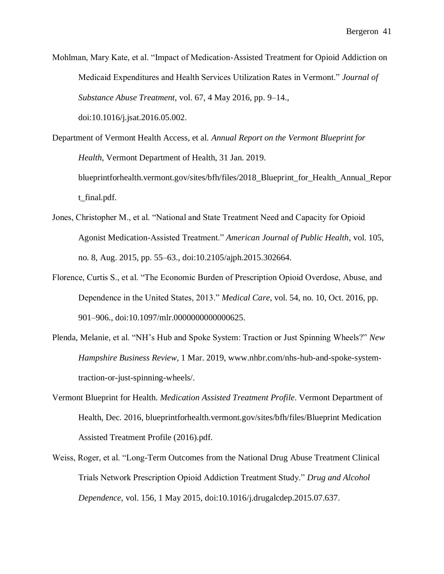Mohlman, Mary Kate, et al. "Impact of Medication-Assisted Treatment for Opioid Addiction on Medicaid Expenditures and Health Services Utilization Rates in Vermont." *Journal of Substance Abuse Treatment*, vol. 67, 4 May 2016, pp. 9–14., doi:10.1016/j.jsat.2016.05.002.

Department of Vermont Health Access, et al. *Annual Report on the Vermont Blueprint for Health*, Vermont Department of Health, 31 Jan. 2019. blueprintforhealth.vermont.gov/sites/bfh/files/2018\_Blueprint\_for\_Health\_Annual\_Repor t\_final.pdf.

- Jones, Christopher M., et al. "National and State Treatment Need and Capacity for Opioid Agonist Medication-Assisted Treatment." *American Journal of Public Health*, vol. 105, no. 8, Aug. 2015, pp. 55–63., doi:10.2105/ajph.2015.302664.
- Florence, Curtis S., et al. "The Economic Burden of Prescription Opioid Overdose, Abuse, and Dependence in the United States, 2013." *Medical Care*, vol. 54, no. 10, Oct. 2016, pp. 901–906., doi:10.1097/mlr.0000000000000625.
- Plenda, Melanie, et al. "NH's Hub and Spoke System: Traction or Just Spinning Wheels?" *New Hampshire Business Review*, 1 Mar. 2019, www.nhbr.com/nhs-hub-and-spoke-systemtraction-or-just-spinning-wheels/.
- Vermont Blueprint for Health. *Medication Assisted Treatment Profile*. Vermont Department of Health, Dec. 2016, blueprintforhealth.vermont.gov/sites/bfh/files/Blueprint Medication Assisted Treatment Profile (2016).pdf.
- Weiss, Roger, et al. "Long-Term Outcomes from the National Drug Abuse Treatment Clinical Trials Network Prescription Opioid Addiction Treatment Study." *Drug and Alcohol Dependence*, vol. 156, 1 May 2015, doi:10.1016/j.drugalcdep.2015.07.637.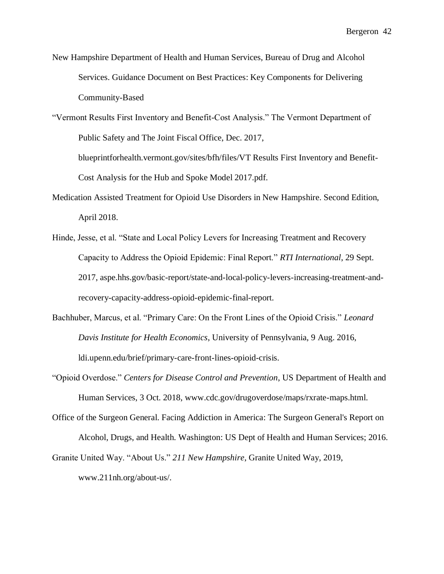- New Hampshire Department of Health and Human Services, Bureau of Drug and Alcohol Services. Guidance Document on Best Practices: Key Components for Delivering Community-Based
- "Vermont Results First Inventory and Benefit-Cost Analysis." The Vermont Department of Public Safety and The Joint Fiscal Office, Dec. 2017, blueprintforhealth.vermont.gov/sites/bfh/files/VT Results First Inventory and Benefit-Cost Analysis for the Hub and Spoke Model 2017.pdf.
- Medication Assisted Treatment for Opioid Use Disorders in New Hampshire. Second Edition, April 2018.
- Hinde, Jesse, et al. "State and Local Policy Levers for Increasing Treatment and Recovery Capacity to Address the Opioid Epidemic: Final Report." *RTI International*, 29 Sept. 2017, aspe.hhs.gov/basic-report/state-and-local-policy-levers-increasing-treatment-andrecovery-capacity-address-opioid-epidemic-final-report.
- Bachhuber, Marcus, et al. "Primary Care: On the Front Lines of the Opioid Crisis." *Leonard Davis Institute for Health Economics*, University of Pennsylvania, 9 Aug. 2016, ldi.upenn.edu/brief/primary-care-front-lines-opioid-crisis.
- "Opioid Overdose." *Centers for Disease Control and Prevention*, US Department of Health and Human Services, 3 Oct. 2018, www.cdc.gov/drugoverdose/maps/rxrate-maps.html.
- Office of the Surgeon General. Facing Addiction in America: The Surgeon General's Report on Alcohol, Drugs, and Health. Washington: US Dept of Health and Human Services; 2016.
- Granite United Way. "About Us." *211 New Hampshire*, Granite United Way, 2019, www.211nh.org/about-us/.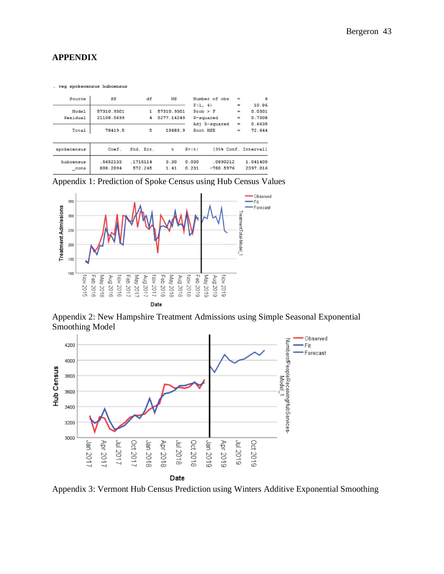# **APPENDIX**

. reg spokecensus hubcensus

| Source           | SS         | df        | MS         |              | Number of obs | $=$      | 6                    |
|------------------|------------|-----------|------------|--------------|---------------|----------|----------------------|
|                  |            |           |            | F(1, 4)      |               | $\equiv$ | 10.86                |
| Model            | 57310.9301 | 1         | 57310.9301 | $Prob$ > $F$ |               | $\equiv$ | 0.0301               |
| <b>Residual</b>  | 21108.5699 | 4         | 5277.14249 |              | R-squared     | $=$      | 0.7308               |
|                  |            |           |            |              | Adj R-squared | $=$      | 0.6635               |
| Total            | 78419.5    | 5         | 15683.9    | Root MSE     |               | $=$      | 72.644               |
| spokecensus      | Coef.      | Std. Err. | t          | P >  t       |               |          | [95% Conf. Interval] |
| hubcensus        | .5652133   | .1715114  | 3.30       | 0.030        | .0890212      |          | 1.041405             |
| $_{\text{cons}}$ | 808.2094   | 572.245   | 1.41       | 0.231        | $-780.5976$   |          | 2397.016             |

Appendix 1: Prediction of Spoke Census using Hub Census Values



Appendix 2: New Hampshire Treatment Admissions using Simple Seasonal Exponential Smoothing Model



Appendix 3: Vermont Hub Census Prediction using Winters Additive Exponential Smoothing